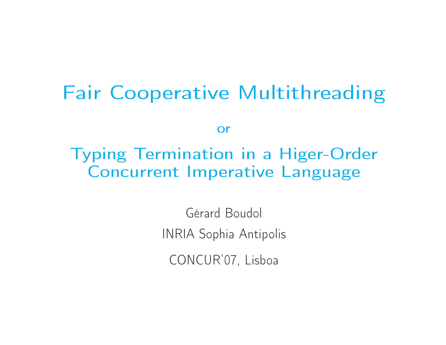### Fair Cooperative Multithreading

or

Typing Termination in <sup>a</sup> Higer-OrderConcurrent Imperative Language

> Gérard Boudol INRIA Sophia Antipolis

CONCUR'07, Lisboa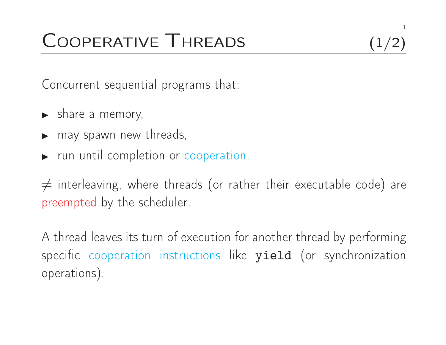## COOPERATIVE THREADS (1/2)

Concurrent sequential programs that:

- ◮► share a memory,
- ◮ $\blacktriangleright$  may spawn new threads,
- ◮► run until completion or cooperation.

 $\neq$  interleaving, where threads (or rather their executable code) are preempted by the scheduler.

A thread leaves its turn of execution for another thread by performingspecific cooperation instructions like  $\mathtt{yield}$  (or synchronization operations).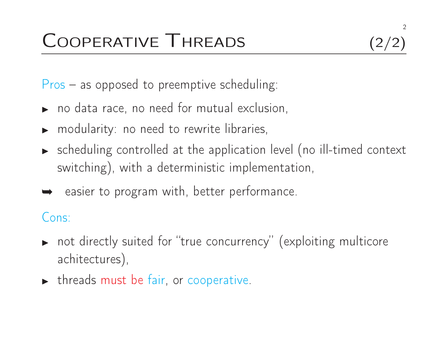2

Pros – as opposed to preemptive scheduling:

- ◮ $\blacktriangleright$  no data race, no need for mutual exclusion,
- ◮ $\blacktriangleright$  modularity: no need to rewrite libraries,
- $\blacktriangleright$  scheduling controlled at the application level (no ill-timed context switching), with <sup>a</sup> deterministic implementation,
- ➥ easier to program with, better performance.

#### Cons:

- $\blacktriangleright$  $\blacktriangleright$  not directly suited for "true concurrency" (exploiting multicore achitectures),
- ◮ $\blacktriangleright$  threads must be fair, or cooperative.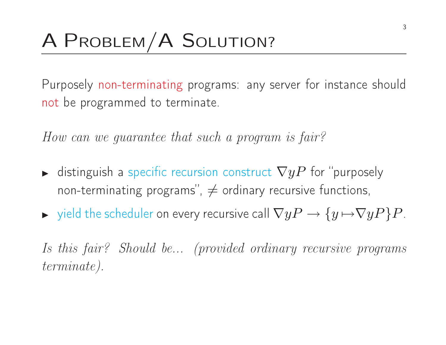## <sup>A</sup> <sup>P</sup>ROBLEM/A <sup>S</sup>OLUTION?

Purposely non-terminating programs: any server for instance shouldnot be programme<sup>d</sup> to terminate.

How can we guarantee that such <sup>a</sup> program is fair?

- ◮ $\blacktriangleright$  distinguish a specific recursion construct  $\nabla yP$  for "purposely non-terminating programs'',  $\neq$  ordinary recursive functions,
- ◮ $\blacktriangleright$  yield the scheduler on every recursive call  $\nabla yP \to \{y \mapsto \nabla yP\}P$ .

Is this fair? Should be... (provided ordinary recursive programsterminate).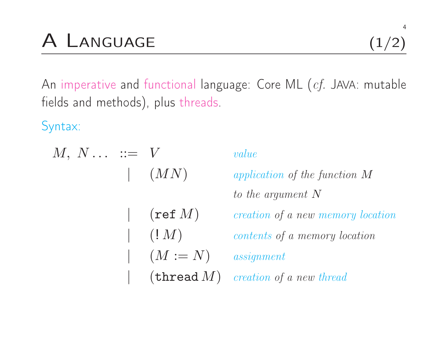An imperative and functional language: Core ML ( $c\!f$ . JAVA: mutable fields and methods), <sup>p</sup>lus threads.

Syntax:

 $M, N \ldots \; := \; V \qquad \qquad value$  $(MN)$  application of the function <sup>M</sup>to the argumen<sup>t</sup> <sup>N</sup>|<br>|<br>|  $(\texttt{ref}~M)$ creation of a new memory location  $|\quad (!\, M)$  contents of <sup>a</sup> memory location $(M := N)$  assignment  $\vert$  (thread  $M$ ) creation of a new thread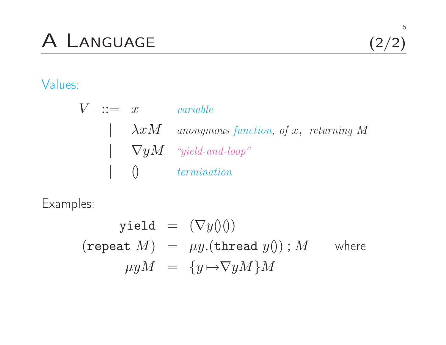## <sup>A</sup> <sup>L</sup>ANGUAGE (2/2)

### Values:

|  | $V := x$ variable |                                                     |
|--|-------------------|-----------------------------------------------------|
|  |                   | $\lambda x$ M anonymous function, of x, returning M |
|  |                   | $\Box$ $\nabla yM$ "yield-and-loop"                 |
|  |                   | $\vert$ () termination                              |

Examples:

$$
\text{yield} = (\nabla y)(0)
$$
\n
$$
(\text{repeat } M) = \mu y.(\text{thread } y()) ; M \quad \text{where}
$$
\n
$$
\mu yM = \{y \mapsto \nabla yM\}M
$$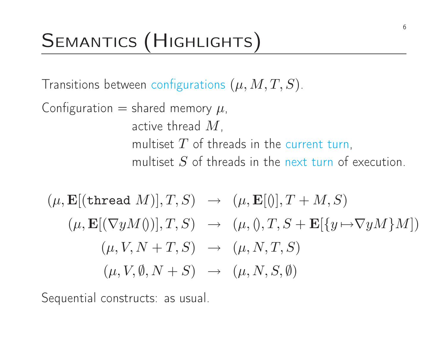## SEMANTICS (HIGHLIGHTS)

Transitions between configurations  $(\mu, M, T, S)$ .

Configuration  $=$  shared memory  $\mu$ , active thread  $M$ , multiset  $T$  of threads in the current turn, multiset  $S$  of threads in the next turn of execution.

$$
(\mu, \mathbf{E}[(\text{thread }M)], T, S) \rightarrow (\mu, \mathbf{E}[0], T + M, S)
$$

$$
(\mu, \mathbf{E}[(\nabla yM0)], T, S) \rightarrow (\mu, 0, T, S + \mathbf{E}[\{y \mapsto \nabla yM\}M])
$$

$$
(\mu, V, N + T, S) \rightarrow (\mu, N, T, S)
$$

$$
(\mu, V, \emptyset, N + S) \rightarrow (\mu, N, S, \emptyset)
$$

Sequential constructs: as usual.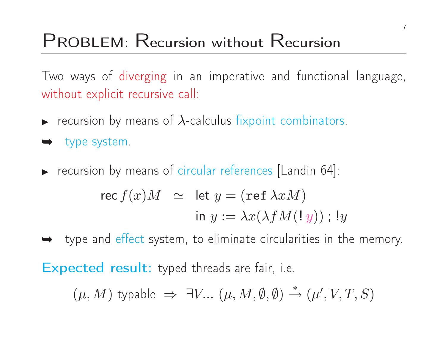## PROBLEM: Recursion without <sup>R</sup>ecursion

Two ways of diverging in an imperative and functional language, without explicit recursive call:

- ◮ $\blacktriangleright$  recursion by means of  $\lambda$ -calculus fixpoint combinators.
- ➥ type system.
- ◮recursion by means of circular references [Landin 64]:

$$
\begin{aligned}\n\text{rec } f(x)M &\simeq \text{ let } y = (\text{ref } \lambda x M) \\
&\text{in } y := \lambda x (\lambda f M(\mathbf{! } y)) \text{ ; } \mathbf{!} y\n\end{aligned}
$$

**►** type and effect system, to eliminate circularities in the memory.

Expected result: typed threads are fair, i.e.

 $(\mu, M)$  typable  $\Rightarrow \exists V ... (\mu, M, \emptyset, \emptyset) \stackrel{*}{\rightarrow} (\mu', V, T, S)$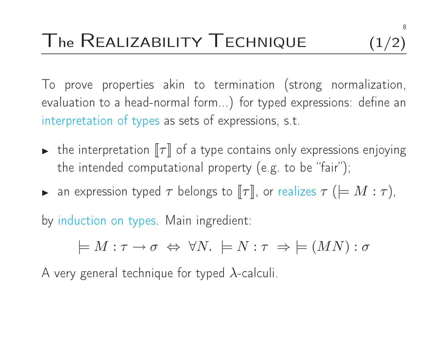To prove properties akin to termination (strong normalization, evaluation to <sup>a</sup> head-normal form...) for typed expressions: define aninterpretation of types as sets of expressions, s.t.

- $\blacktriangleright$  $\,\blacktriangleright\,$  the interpretation  $[\![\tau]\!]$  of a type contains only expressions enjoying the intended computational property (e.g. to be "fair");
- ◮ $\blacktriangleright$  an expression typed  $\tau$  belongs to  $\llbracket \tau \rrbracket$ , or realizes  $\tau$   $( \models M : \tau )$ ,

by induction on types. Main ingredient:

 $\models M:\tau\to\sigma\ \Leftrightarrow\ \forall N.\ \models N:\tau\ \Rightarrow\ \models (MN):\sigma$ 

A very general technique for typed  $\lambda$ -calculi.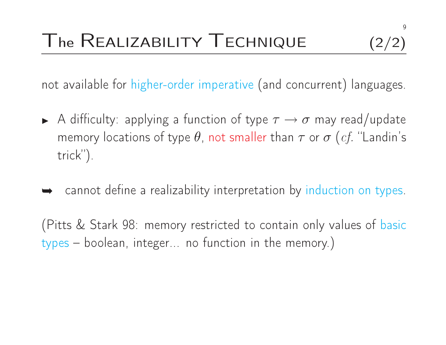not available for higher-order imperative (and concurrent) languages.

- ◮A difficulty: applying a function of type  $\tau \to \sigma$  may read/update<br>memory locations of type  $\theta$ , not smaller than  $\tau$  or  $\sigma$  (cf. "Landin's memory locations of type  $\theta$ , not smaller than  $\tau$  or  $\sigma$   $(cf.$  "Landin's trick").
- **►** cannot define a realizability interpretation by induction on types.

(Pitts & Stark 98: memory restricted to contain only values of basictypes – boolean, integer... no function in the memory.)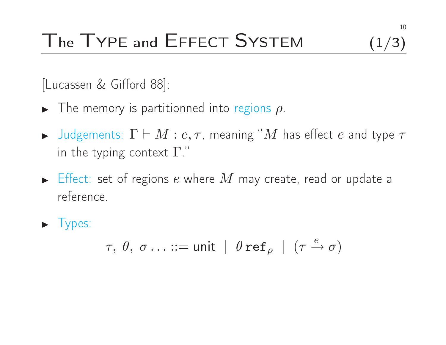# $\Gamma$ he  $\Gamma$ YPE and  $\Gamma$ FFECT  $S$ YSTEM  $(1/3)$

[Lucassen & Gifford 88]:

- ◮ $\blacktriangleright$  The memory is partitionned into regions  $\rho$ .
- ◮ $\blacktriangleright$  Judgements:  $\Gamma \vdash M : e, \tau$ , meaning "*M* has effect *e* and type  $\tau$ <br>in the typing sentext  $\Gamma$  " in the typing context  $\Gamma$ ."
- $\blacktriangleright$ Fffect: set of regions  $e$  where  $M$  may create, read or update a<br>reference reference.

▶ Types:

$$
\tau, \; \theta, \; \sigma \ldots ::= \mathsf{unit} \; | \; \theta \, \mathbf{ref}_{\rho} \; | \; (\tau \xrightarrow{e} \sigma)
$$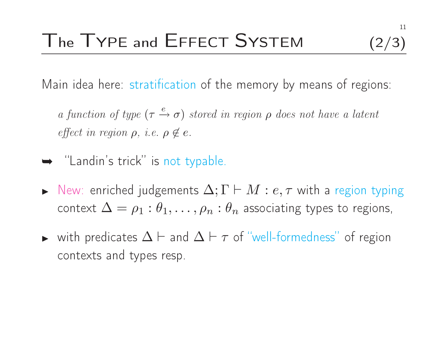Main idea here: stratification of the memory by means of regions:

a function of type  $(\tau \xrightarrow{e} \sigma)$  stored in region  $\rho$  does not have a latent<br>contains effect in region  $\rho$ , i.e.  $\rho \notin e$ .

- ➥ "Landin's trick" is not typable.
- ◮New: enriched judgements  $\Delta; \Gamma \vdash M : e, \tau$  with a region typing<br>context  $\Delta = e \cdot \theta$  and  $e \cdot \theta$  associating types to regions context  $\Delta = \rho_1 : \theta_1, \ldots, \rho_n : \theta_n$  associating types to regions,
- ◮► with predicates  $\Delta \vdash$  and  $\Delta \vdash \tau$  of "well-formedness" of region contexts and types resp.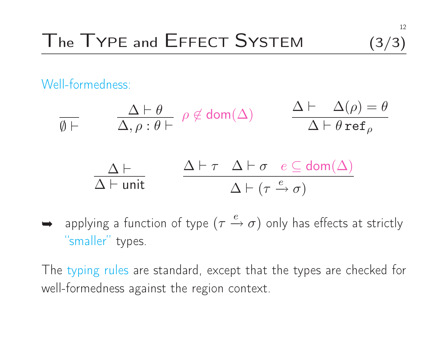# The TYPE and EFFECT SYSTEM  $(3/3)$

Well-formedness:

$$
\begin{array}{ll}\n\overline{\emptyset \vdash} & \Delta \vdash \theta \\
\hline\n\Delta, \rho : \theta \vdash & \rho \notin \text{dom}(\Delta) & \Delta \vdash \Delta(\rho) = \theta \\
\hline\n\Delta \vdash & \Delta \vdash \tau & \Delta \vdash \sigma & e \subseteq \text{dom}(\Delta) \\
\hline\n\Delta \vdash \text{unit} & \Delta \vdash (\tau \xrightarrow{e} \sigma)\n\end{array}
$$

⇒ applying a function of type 
$$
(\tau \xrightarrow{e} \sigma)
$$
 only has effects at strictly "smaller" types.

\nOutput

\nDescription:

The typing rules are standard, except that the types are checked for well-formedness against the region context.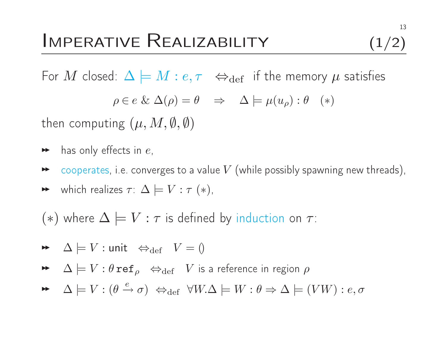For  $M$  closed:  $\Delta \models M : e, \tau \iff_{\mathrm{def}}$  if the memory  $\mu$  satisfies

 $\rho \in e \& \Delta(\rho) = \theta \Rightarrow \Delta \models \mu(u_{\rho}) : \theta \quad (*)$ 

then computing  $(\mu,M,\emptyset,\emptyset)$ 

- $\blacktriangleright$  has only effects in  $e,$
- $\blacktriangleright$  $\bullet\quad$  cooperates, i.e. converges to a value  $V$  (while possibly spawning new threads),
- $\blacktriangleright$  which realizes  $\tau: \Delta \models V : \tau(*)$ ,

 $(*)$  where  $\Delta \models V : \tau$  is defined by induction on  $\tau$ :

$$
\blacktriangleright \quad \Delta \models V : \mathsf{unit} \ \Leftrightarrow_{\mathrm{def}} \quad V = 0
$$

 $\blacktriangleright\;\;\; \Delta\models V:\theta\,\texttt{ref}_\rho\;\;\Leftrightarrow_{\mathrm{def}}\;\;V$  is a reference in region  $\rho$ 

 $\rightarrow \Delta \models V : (\theta \stackrel{e}{\rightarrow} \sigma) \Leftrightarrow_{\text{def}} \forall W. \Delta \models W : \theta \Rightarrow \Delta \models (VW) : e, \sigma$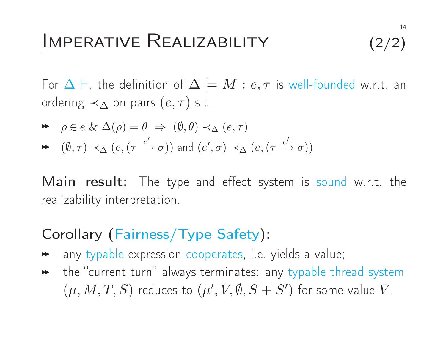For  $\Delta \vdash$ , the definition of  $\Delta \models M : e, \tau$  is well-founded w.r.t. an<br>erdering  $\Delta$  en pairs (e  $\pi$ ) s t ordering  $\prec_{\Delta}$  on pairs  $(e,\tau)$  s.t.

$$
\blacktriangleright \quad \rho \in e \ \& \ \Delta(\rho) = \theta \ \Rightarrow \ (\emptyset, \theta) \prec_{\Delta} (e, \tau)
$$

$$
\blacktriangleright \quad (\emptyset, \tau) \prec_{\Delta} (e, (\tau \xrightarrow{e'} \sigma)) \text{ and } (e', \sigma) \prec_{\Delta} (e, (\tau \xrightarrow{e'} \sigma))
$$

**Main result**: The type and effect system is sound w.r.t. the realizability interpretation.

### Corollary (Fairness/Type Safety):

- $\blacktriangleright\blacktriangleright$ any typable expression cooperates, i.e. <sup>y</sup>ields <sup>a</sup> value;
- $\blacktriangleright\;$  the "current turn" always terminates: any typable thread system  $(\mu, M, T, S)$  reduces to  $(\mu', V, \emptyset, S + S')$  for some value  $V$ .